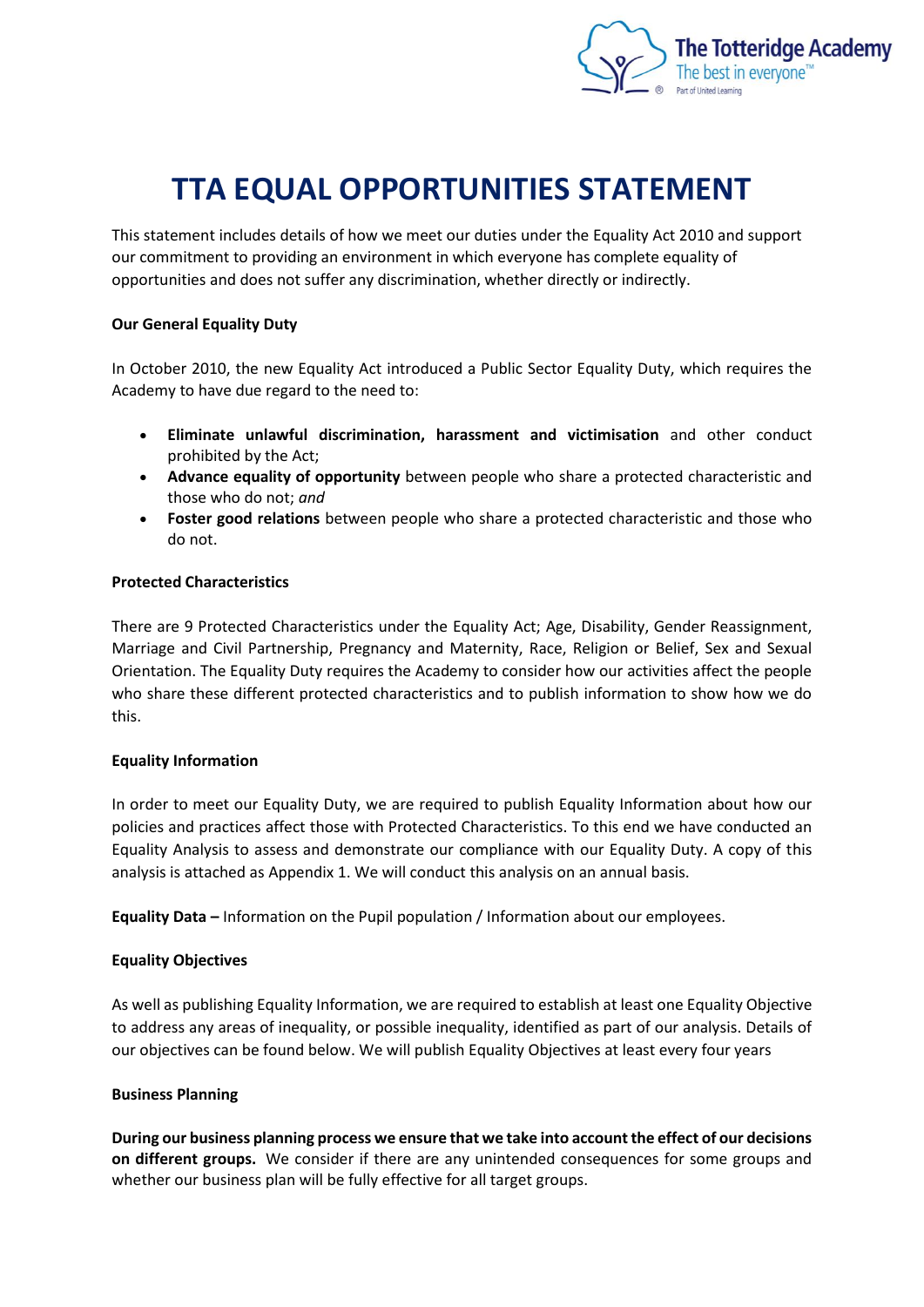

# **TTA EQUAL OPPORTUNITIES STATEMENT**

This statement includes details of how we meet our duties under the Equality Act 2010 and support our commitment to providing an environment in which everyone has complete equality of opportunities and does not suffer any discrimination, whether directly or indirectly.

## **Our General Equality Duty**

In October 2010, the new Equality Act introduced a Public Sector Equality Duty, which requires the Academy to have due regard to the need to:

- **Eliminate unlawful discrimination, harassment and victimisation** and other conduct prohibited by the Act;
- **Advance equality of opportunity** between people who share a protected characteristic and those who do not; *and*
- **Foster good relations** between people who share a protected characteristic and those who do not.

#### **Protected Characteristics**

There are 9 Protected Characteristics under the Equality Act; Age, Disability, Gender Reassignment, Marriage and Civil Partnership, Pregnancy and Maternity, Race, Religion or Belief, Sex and Sexual Orientation. The Equality Duty requires the Academy to consider how our activities affect the people who share these different protected characteristics and to publish information to show how we do this.

## **Equality Information**

In order to meet our Equality Duty, we are required to publish Equality Information about how our policies and practices affect those with Protected Characteristics. To this end we have conducted an Equality Analysis to assess and demonstrate our compliance with our Equality Duty. A copy of this analysis is attached as Appendix 1. We will conduct this analysis on an annual basis.

**Equality Data –** Information on the Pupil population / Information about our employees.

## **Equality Objectives**

As well as publishing Equality Information, we are required to establish at least one Equality Objective to address any areas of inequality, or possible inequality, identified as part of our analysis. Details of our objectives can be found below. We will publish Equality Objectives at least every four years

## **Business Planning**

**During our business planning process we ensure that we take into account the effect of our decisions on different groups.** We consider if there are any unintended consequences for some groups and whether our business plan will be fully effective for all target groups.